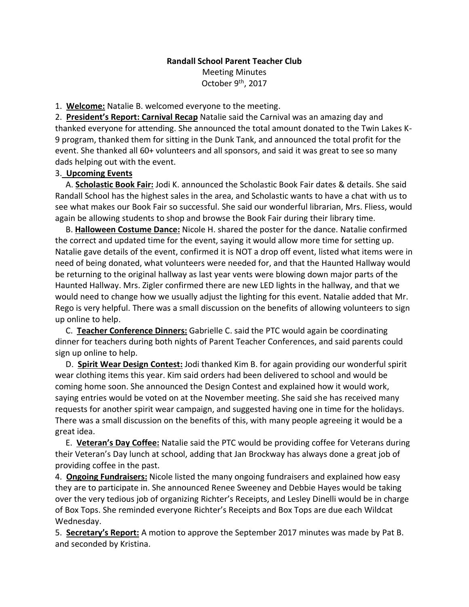## **Randall School Parent Teacher Club** Meeting Minutes October 9<sup>th</sup>, 2017

1. **Welcome:** Natalie B. welcomed everyone to the meeting.

2. **President's Report: Carnival Recap** Natalie said the Carnival was an amazing day and thanked everyone for attending. She announced the total amount donated to the Twin Lakes K-9 program, thanked them for sitting in the Dunk Tank, and announced the total profit for the event. She thanked all 60+ volunteers and all sponsors, and said it was great to see so many dads helping out with the event.

## 3. **Upcoming Events**

 A. **Scholastic Book Fair:** Jodi K. announced the Scholastic Book Fair dates & details. She said Randall School has the highest sales in the area, and Scholastic wants to have a chat with us to see what makes our Book Fair so successful. She said our wonderful librarian, Mrs. Fliess, would again be allowing students to shop and browse the Book Fair during their library time.

 B. **Halloween Costume Dance:** Nicole H. shared the poster for the dance. Natalie confirmed the correct and updated time for the event, saying it would allow more time for setting up. Natalie gave details of the event, confirmed it is NOT a drop off event, listed what items were in need of being donated, what volunteers were needed for, and that the Haunted Hallway would be returning to the original hallway as last year vents were blowing down major parts of the Haunted Hallway. Mrs. Zigler confirmed there are new LED lights in the hallway, and that we would need to change how we usually adjust the lighting for this event. Natalie added that Mr. Rego is very helpful. There was a small discussion on the benefits of allowing volunteers to sign up online to help.

 C. **Teacher Conference Dinners:** Gabrielle C. said the PTC would again be coordinating dinner for teachers during both nights of Parent Teacher Conferences, and said parents could sign up online to help.

 D. **Spirit Wear Design Contest:** Jodi thanked Kim B. for again providing our wonderful spirit wear clothing items this year. Kim said orders had been delivered to school and would be coming home soon. She announced the Design Contest and explained how it would work, saying entries would be voted on at the November meeting. She said she has received many requests for another spirit wear campaign, and suggested having one in time for the holidays. There was a small discussion on the benefits of this, with many people agreeing it would be a great idea.

 E. **Veteran's Day Coffee:** Natalie said the PTC would be providing coffee for Veterans during their Veteran's Day lunch at school, adding that Jan Brockway has always done a great job of providing coffee in the past.

4. **Ongoing Fundraisers:** Nicole listed the many ongoing fundraisers and explained how easy they are to participate in. She announced Renee Sweeney and Debbie Hayes would be taking over the very tedious job of organizing Richter's Receipts, and Lesley Dinelli would be in charge of Box Tops. She reminded everyone Richter's Receipts and Box Tops are due each Wildcat Wednesday.

5. **Secretary's Report:** A motion to approve the September 2017 minutes was made by Pat B. and seconded by Kristina.